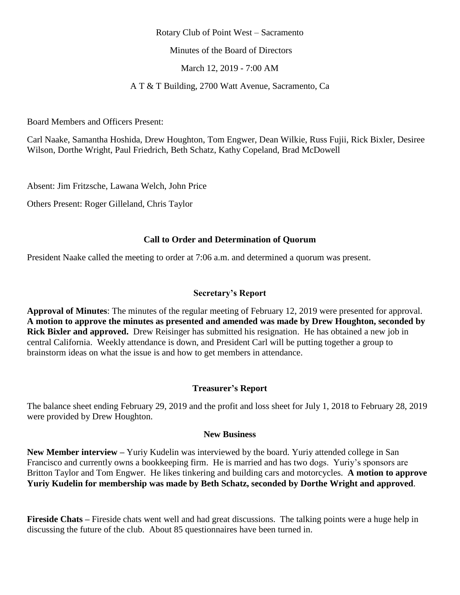#### Rotary Club of Point West – Sacramento

Minutes of the Board of Directors

March 12, 2019 - 7:00 AM

A T & T Building, 2700 Watt Avenue, Sacramento, Ca

Board Members and Officers Present:

Carl Naake, Samantha Hoshida, Drew Houghton, Tom Engwer, Dean Wilkie, Russ Fujii, Rick Bixler, Desiree Wilson, Dorthe Wright, Paul Friedrich, Beth Schatz, Kathy Copeland, Brad McDowell

Absent: Jim Fritzsche, Lawana Welch, John Price

Others Present: Roger Gilleland, Chris Taylor

# **Call to Order and Determination of Quorum**

President Naake called the meeting to order at 7:06 a.m. and determined a quorum was present.

# **Secretary's Report**

**Approval of Minutes**: The minutes of the regular meeting of February 12, 2019 were presented for approval. **A motion to approve the minutes as presented and amended was made by Drew Houghton, seconded by Rick Bixler and approved.** Drew Reisinger has submitted his resignation. He has obtained a new job in central California. Weekly attendance is down, and President Carl will be putting together a group to brainstorm ideas on what the issue is and how to get members in attendance.

#### **Treasurer's Report**

The balance sheet ending February 29, 2019 and the profit and loss sheet for July 1, 2018 to February 28, 2019 were provided by Drew Houghton.

#### **New Business**

**New Member interview –** Yuriy Kudelin was interviewed by the board. Yuriy attended college in San Francisco and currently owns a bookkeeping firm. He is married and has two dogs. Yuriy's sponsors are Britton Taylor and Tom Engwer. He likes tinkering and building cars and motorcycles. **A motion to approve Yuriy Kudelin for membership was made by Beth Schatz, seconded by Dorthe Wright and approved**.

**Fireside Chats –** Fireside chats went well and had great discussions. The talking points were a huge help in discussing the future of the club. About 85 questionnaires have been turned in.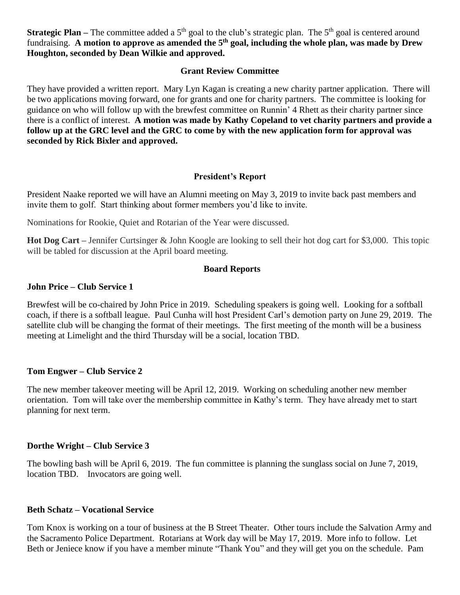**Strategic Plan** – The committee added a 5<sup>th</sup> goal to the club's strategic plan. The 5<sup>th</sup> goal is centered around fundraising. A motion to approve as amended the 5<sup>th</sup> goal, including the whole plan, was made by Drew **Houghton, seconded by Dean Wilkie and approved.**

# **Grant Review Committee**

They have provided a written report. Mary Lyn Kagan is creating a new charity partner application. There will be two applications moving forward, one for grants and one for charity partners. The committee is looking for guidance on who will follow up with the brewfest committee on Runnin' 4 Rhett as their charity partner since there is a conflict of interest. **A motion was made by Kathy Copeland to vet charity partners and provide a follow up at the GRC level and the GRC to come by with the new application form for approval was seconded by Rick Bixler and approved.** 

# **President's Report**

President Naake reported we will have an Alumni meeting on May 3, 2019 to invite back past members and invite them to golf. Start thinking about former members you'd like to invite.

Nominations for Rookie, Quiet and Rotarian of the Year were discussed.

**Hot Dog Cart –** Jennifer Curtsinger & John Koogle are looking to sell their hot dog cart for \$3,000. This topic will be tabled for discussion at the April board meeting.

# **Board Reports**

# **John Price – Club Service 1**

Brewfest will be co-chaired by John Price in 2019. Scheduling speakers is going well. Looking for a softball coach, if there is a softball league. Paul Cunha will host President Carl's demotion party on June 29, 2019. The satellite club will be changing the format of their meetings. The first meeting of the month will be a business meeting at Limelight and the third Thursday will be a social, location TBD.

# **Tom Engwer – Club Service 2**

The new member takeover meeting will be April 12, 2019. Working on scheduling another new member orientation. Tom will take over the membership committee in Kathy's term. They have already met to start planning for next term.

#### **Dorthe Wright – Club Service 3**

The bowling bash will be April 6, 2019. The fun committee is planning the sunglass social on June 7, 2019, location TBD. Invocators are going well.

#### **Beth Schatz – Vocational Service**

Tom Knox is working on a tour of business at the B Street Theater. Other tours include the Salvation Army and the Sacramento Police Department. Rotarians at Work day will be May 17, 2019. More info to follow. Let Beth or Jeniece know if you have a member minute "Thank You" and they will get you on the schedule. Pam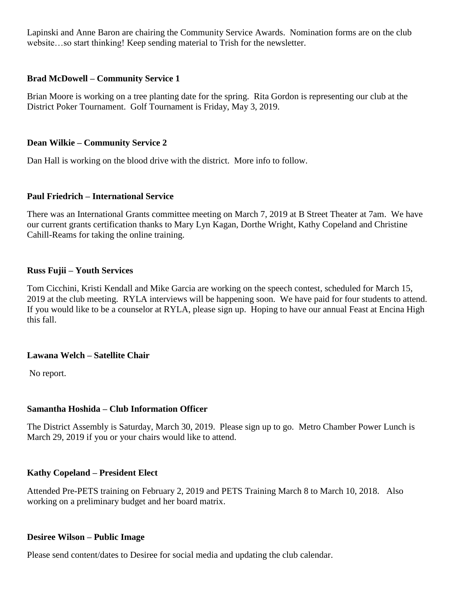Lapinski and Anne Baron are chairing the Community Service Awards. Nomination forms are on the club website…so start thinking! Keep sending material to Trish for the newsletter.

# **Brad McDowell – Community Service 1**

Brian Moore is working on a tree planting date for the spring. Rita Gordon is representing our club at the District Poker Tournament. Golf Tournament is Friday, May 3, 2019.

# **Dean Wilkie – Community Service 2**

Dan Hall is working on the blood drive with the district. More info to follow.

#### **Paul Friedrich – International Service**

There was an International Grants committee meeting on March 7, 2019 at B Street Theater at 7am. We have our current grants certification thanks to Mary Lyn Kagan, Dorthe Wright, Kathy Copeland and Christine Cahill-Reams for taking the online training.

#### **Russ Fujii – Youth Services**

Tom Cicchini, Kristi Kendall and Mike Garcia are working on the speech contest, scheduled for March 15, 2019 at the club meeting. RYLA interviews will be happening soon. We have paid for four students to attend. If you would like to be a counselor at RYLA, please sign up. Hoping to have our annual Feast at Encina High this fall.

#### **Lawana Welch – Satellite Chair**

No report.

# **Samantha Hoshida – Club Information Officer**

The District Assembly is Saturday, March 30, 2019. Please sign up to go. Metro Chamber Power Lunch is March 29, 2019 if you or your chairs would like to attend.

#### **Kathy Copeland – President Elect**

Attended Pre-PETS training on February 2, 2019 and PETS Training March 8 to March 10, 2018. Also working on a preliminary budget and her board matrix.

#### **Desiree Wilson – Public Image**

Please send content/dates to Desiree for social media and updating the club calendar.